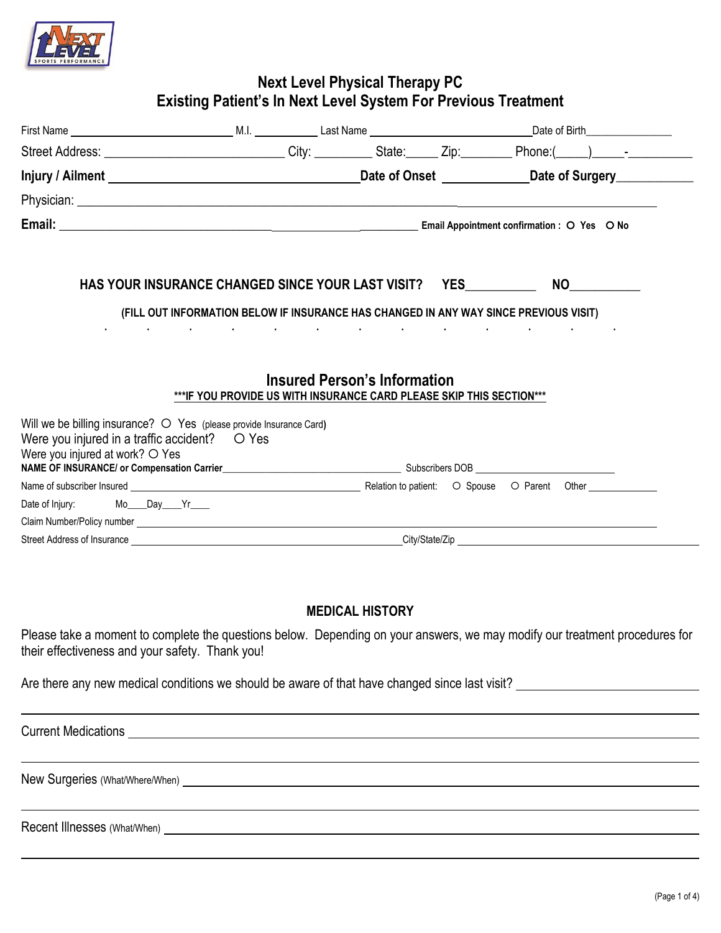

# **Next Level Physical Therapy PC Existing Patient's In Next Level System For Previous Treatment**

|                                                                                                                                                                  |                                                                                                             | Date of Birth <b>National Property</b>                                                                                                                                                                                                                                                                                                              |  |
|------------------------------------------------------------------------------------------------------------------------------------------------------------------|-------------------------------------------------------------------------------------------------------------|-----------------------------------------------------------------------------------------------------------------------------------------------------------------------------------------------------------------------------------------------------------------------------------------------------------------------------------------------------|--|
|                                                                                                                                                                  |                                                                                                             |                                                                                                                                                                                                                                                                                                                                                     |  |
|                                                                                                                                                                  |                                                                                                             |                                                                                                                                                                                                                                                                                                                                                     |  |
|                                                                                                                                                                  |                                                                                                             |                                                                                                                                                                                                                                                                                                                                                     |  |
|                                                                                                                                                                  |                                                                                                             |                                                                                                                                                                                                                                                                                                                                                     |  |
| HAS YOUR INSURANCE CHANGED SINCE YOUR LAST VISIT? YES                                                                                                            |                                                                                                             | $\begin{picture}(180,10) \put(0,0){\line(1,0){10}} \put(15,0){\line(1,0){10}} \put(15,0){\line(1,0){10}} \put(15,0){\line(1,0){10}} \put(15,0){\line(1,0){10}} \put(15,0){\line(1,0){10}} \put(15,0){\line(1,0){10}} \put(15,0){\line(1,0){10}} \put(15,0){\line(1,0){10}} \put(15,0){\line(1,0){10}} \put(15,0){\line(1,0){10}} \put(15,0){\line($ |  |
|                                                                                                                                                                  | (FILL OUT INFORMATION BELOW IF INSURANCE HAS CHANGED IN ANY WAY SINCE PREVIOUS VISIT)                       | and the contract of the contract of the contract of the contract of the contract of the contract of the contract of                                                                                                                                                                                                                                 |  |
|                                                                                                                                                                  | <b>Insured Person's Information</b><br>***IF YOU PROVIDE US WITH INSURANCE CARD PLEASE SKIP THIS SECTION*** |                                                                                                                                                                                                                                                                                                                                                     |  |
| Will we be billing insurance? O Yes (please provide Insurance Card)<br>Were you injured in a traffic accident? $\bigcirc$ Yes<br>Were you injured at work? O Yes |                                                                                                             |                                                                                                                                                                                                                                                                                                                                                     |  |
|                                                                                                                                                                  |                                                                                                             |                                                                                                                                                                                                                                                                                                                                                     |  |
| Date of Injury: Mo___Day___Yr___                                                                                                                                 |                                                                                                             |                                                                                                                                                                                                                                                                                                                                                     |  |
|                                                                                                                                                                  |                                                                                                             |                                                                                                                                                                                                                                                                                                                                                     |  |
|                                                                                                                                                                  |                                                                                                             |                                                                                                                                                                                                                                                                                                                                                     |  |

## **MEDICAL HISTORY**

Please take a moment to complete the questions below. Depending on your answers, we may modify our treatment procedures for their effectiveness and your safety. Thank you!

Are there any new medical conditions we should be aware of that have changed since last visit?

Current Medications **contract and the contract of the contract of the contract of the contract of the contract of the contract of the contract of the contract of the contract of the contract of the contract of the contract** 

New Surgeries (What/Where/When) **New Surgeries** (What/Where/When)

Recent Illnesses (What/When) **Example 2018** 2019 12:30 and 2019 12:30 and 2019 12:30 and 2019 12:30 and 2019 12:30 and 2019 12:30 and 2019 12:30 and 2019 12:30 and 2019 12:30 and 2019 12:30 and 2019 12:30 and 2019 12:30 an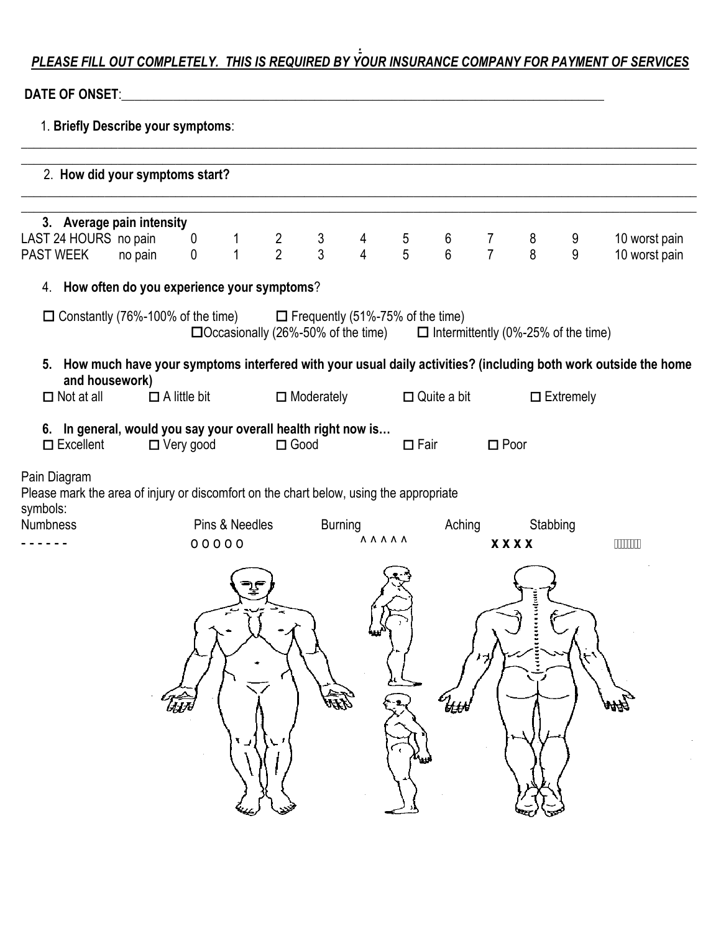## *. PLEASE FILL OUT COMPLETELY. THIS IS REQUIRED BY YOUR INSURANCE COMPANY FOR PAYMENT OF SERVICES*

# **DATE OF ONSET**:\_\_\_\_\_\_\_\_\_\_\_\_\_\_\_\_\_\_\_\_\_\_\_\_\_\_\_\_\_\_\_\_\_\_\_\_\_\_\_\_\_\_\_\_\_\_\_\_\_\_\_\_\_\_\_\_\_\_\_\_\_\_\_\_\_\_\_\_\_\_\_\_\_\_\_

|                 | 1. Briefly Describe your symptoms:                                                                     |         |                       |                         |               |                                           |                    |                                   |                                       |                     |             |                                            |                                                                                                                   |  |
|-----------------|--------------------------------------------------------------------------------------------------------|---------|-----------------------|-------------------------|---------------|-------------------------------------------|--------------------|-----------------------------------|---------------------------------------|---------------------|-------------|--------------------------------------------|-------------------------------------------------------------------------------------------------------------------|--|
|                 | 2. How did your symptoms start?                                                                        |         |                       |                         |               |                                           |                    |                                   |                                       |                     |             |                                            |                                                                                                                   |  |
|                 | 3. Average pain intensity<br>LAST 24 HOURS no pain<br><b>PAST WEEK</b>                                 | no pain | $\boldsymbol{0}$<br>0 | $\overline{1}$          | $\frac{2}{2}$ | $\frac{3}{3}$                             | $\frac{4}{4}$      | $5\phantom{.0}$<br>$\overline{5}$ | $\begin{array}{c} 6 \\ 6 \end{array}$ | 7<br>$\overline{7}$ | 8<br>8      | 9<br>9                                     | 10 worst pain<br>10 worst pain                                                                                    |  |
| 4.              | How often do you experience your symptoms?                                                             |         |                       |                         |               |                                           |                    |                                   |                                       |                     |             |                                            |                                                                                                                   |  |
|                 | $\Box$ Constantly (76%-100% of the time) $\Box$ Frequently (51%-75% of the time)                       |         |                       |                         |               | $\Box$ Occasionally (26%-50% of the time) |                    |                                   |                                       |                     |             | $\Box$ Intermittently (0%-25% of the time) |                                                                                                                   |  |
|                 | and housework)                                                                                         |         |                       |                         |               |                                           |                    |                                   |                                       |                     |             |                                            | 5. How much have your symptoms interfered with your usual daily activities? (including both work outside the home |  |
|                 | $\Box$ Not at all<br>$\Box$ A little bit                                                               |         |                       | $\Box$ Moderately       |               |                                           | $\Box$ Quite a bit |                                   |                                       | $\Box$ Extremely    |             |                                            |                                                                                                                   |  |
|                 | 6. In general, would you say your overall health right now is<br>$\square$ Excellent                   |         | $\Box$ Very good      |                         | $\Box$ Good   |                                           |                    | $\Box$ Fair                       |                                       | $\square$ Poor      |             |                                            |                                                                                                                   |  |
| symbols:        | Pain Diagram<br>Please mark the area of injury or discomfort on the chart below, using the appropriate |         |                       |                         |               |                                           |                    |                                   |                                       |                     |             |                                            |                                                                                                                   |  |
| <b>Numbness</b> |                                                                                                        |         |                       | Pins & Needles<br>00000 |               | <b>Burning</b>                            |                    | <b>AAAAA</b>                      | Aching                                |                     | <b>XXXX</b> | Stabbing                                   |                                                                                                                   |  |
|                 |                                                                                                        |         | йØ                    |                         |               | (FF)                                      |                    |                                   | $\ell_{\sharp\sharp\sharp}$           |                     |             |                                            |                                                                                                                   |  |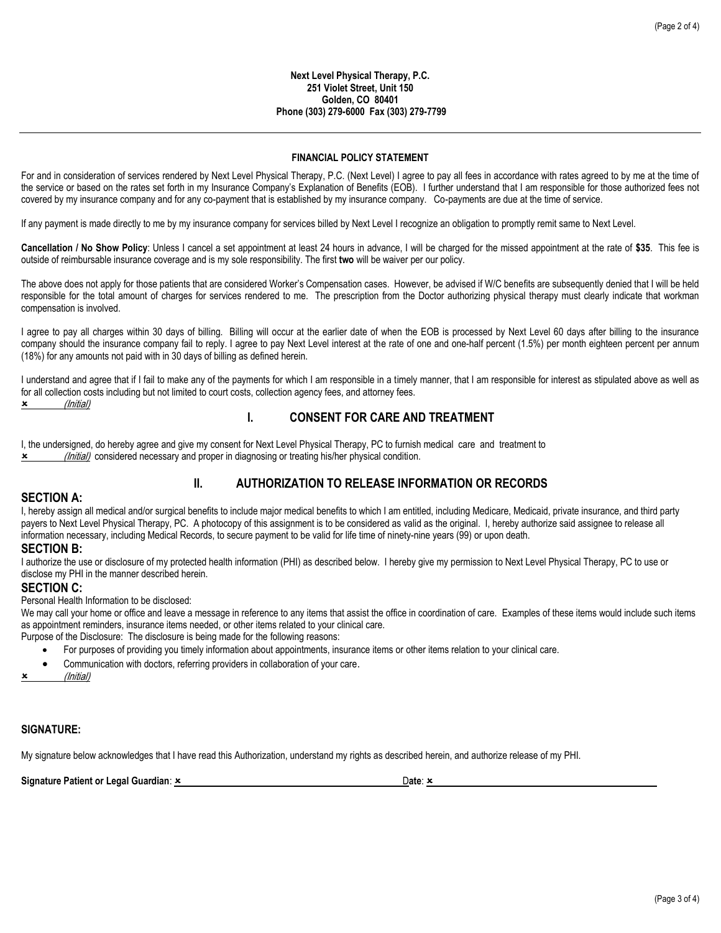#### **Next Level Physical Therapy, P.C. 251 Violet Street, Unit 150 Golden, CO 80401 Phone (303) 279-6000 Fax (303) 279-7799**

#### **FINANCIAL POLICY STATEMENT**

For and in consideration of services rendered by Next Level Physical Therapy, P.C. (Next Level) I agree to pay all fees in accordance with rates agreed to by me at the time of the service or based on the rates set forth in my Insurance Company's Explanation of Benefits (EOB). I further understand that I am responsible for those authorized fees not covered by my insurance company and for any co-payment that is established by my insurance company. Co-payments are due at the time of service.

If any payment is made directly to me by my insurance company for services billed by Next Level I recognize an obligation to promptly remit same to Next Level.

**Cancellation / No Show Policy**: Unless I cancel a set appointment at least 24 hours in advance, I will be charged for the missed appointment at the rate of **\$35**. This fee is outside of reimbursable insurance coverage and is my sole responsibility. The first **two** will be waiver per our policy.

The above does not apply for those patients that are considered Worker's Compensation cases. However, be advised if W/C benefits are subsequently denied that I will be held responsible for the total amount of charges for services rendered to me. The prescription from the Doctor authorizing physical therapy must clearly indicate that workman compensation is involved.

I agree to pay all charges within 30 days of billing. Billing will occur at the earlier date of when the EOB is processed by Next Level 60 days after billing to the insurance company should the insurance company fail to reply. I agree to pay Next Level interest at the rate of one and one-half percent (1.5%) per month eighteen percent per annum (18%) for any amounts not paid with in 30 days of billing as defined herein.

I understand and agree that if I fail to make any of the payments for which I am responsible in a timely manner, that I am responsible for interest as stipulated above as well as for all collection costs including but not limited to court costs, collection agency fees, and attorney fees.  $\times$  (Initial)

### **I. CONSENT FOR CARE AND TREATMENT**

I, the undersigned, do hereby agree and give my consent for Next Level Physical Therapy, PC to furnish medical care and treatment to x *(Initial)* considered necessary and proper in diagnosing or treating his/her physical condition.

### **SECTION A:**

## **II. AUTHORIZATION TO RELEASE INFORMATION OR RECORDS**

I, hereby assign all medical and/or surgical benefits to include major medical benefits to which I am entitled, including Medicare, Medicaid, private insurance, and third party payers to Next Level Physical Therapy, PC. A photocopy of this assignment is to be considered as valid as the original. I, hereby authorize said assignee to release all information necessary, including Medical Records, to secure payment to be valid for life time of ninety-nine years (99) or upon death.

#### **SECTION B:**

I authorize the use or disclosure of my protected health information (PHI) as described below. I hereby give my permission to Next Level Physical Therapy, PC to use or disclose my PHI in the manner described herein.

#### **SECTION C:**

#### Personal Health Information to be disclosed:

We may call your home or office and leave a message in reference to any items that assist the office in coordination of care. Examples of these items would include such items as appointment reminders, insurance items needed, or other items related to your clinical care.

Purpose of the Disclosure: The disclosure is being made for the following reasons:

- For purposes of providing you timely information about appointments, insurance items or other items relation to your clinical care.
- Communication with doctors, referring providers in collaboration of your care.
- (Initial)

### **SIGNATURE:**

My signature below acknowledges that I have read this Authorization, understand my rights as described herein, and authorize release of my PHI.

**Signature Patient or Legal Guardian:**  $\infty$  **Date:**  $\infty$  **Date:**  $\infty$  **Date:**  $\infty$